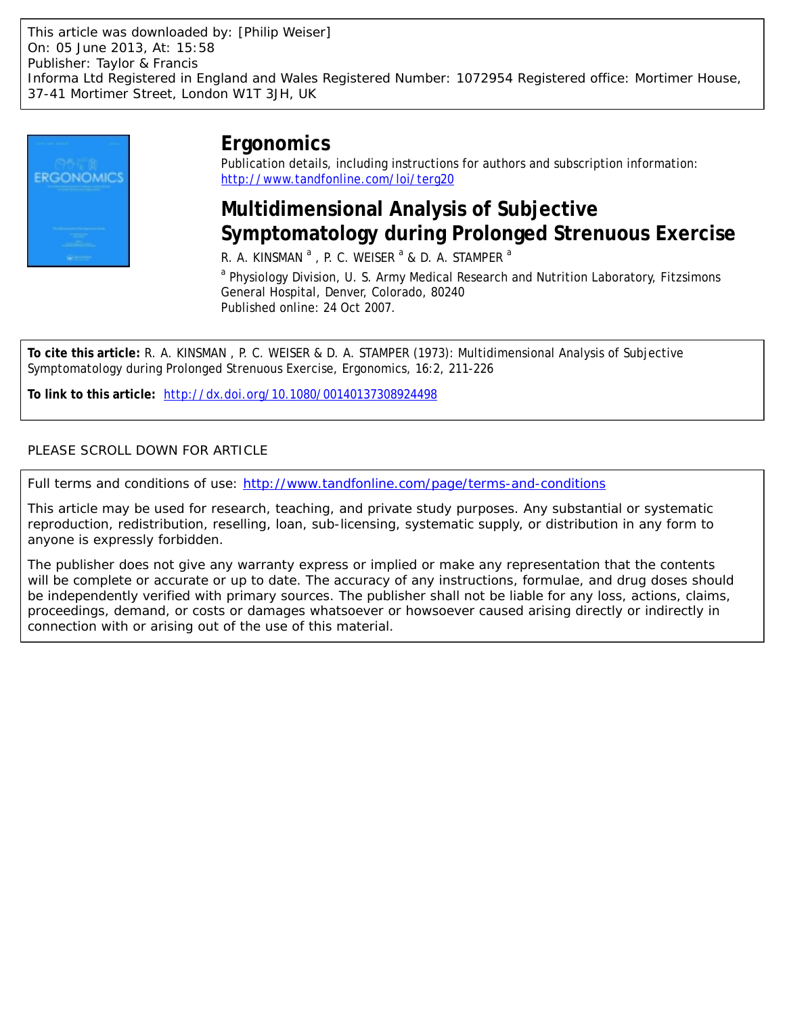

# **Ergonomics**

Publication details, including instructions for authors and subscription information: <http://www.tandfonline.com/loi/terg20>

# **Multidimensional Analysis of Subjective Symptomatology during Prolonged Strenuous Exercise**

R. A. KINSMAN  $^{\mathrm{a}}$  , P. C. WEISER  $^{\mathrm{a}}$  & D. A. STAMPER  $^{\mathrm{a}}$ 

<sup>a</sup> Physiology Division, U. S. Army Medical Research and Nutrition Laboratory, Fitzsimons General Hospital, Denver, Colorado, 80240 Published online: 24 Oct 2007.

**To cite this article:** R. A. KINSMAN , P. C. WEISER & D. A. STAMPER (1973): Multidimensional Analysis of Subjective Symptomatology during Prolonged Strenuous Exercise, Ergonomics, 16:2, 211-226

**To link to this article:** <http://dx.doi.org/10.1080/00140137308924498>

## PLEASE SCROLL DOWN FOR ARTICLE

Full terms and conditions of use:<http://www.tandfonline.com/page/terms-and-conditions>

This article may be used for research, teaching, and private study purposes. Any substantial or systematic reproduction, redistribution, reselling, loan, sub-licensing, systematic supply, or distribution in any form to anyone is expressly forbidden.

The publisher does not give any warranty express or implied or make any representation that the contents will be complete or accurate or up to date. The accuracy of any instructions, formulae, and drug doses should be independently verified with primary sources. The publisher shall not be liable for any loss, actions, claims, proceedings, demand, or costs or damages whatsoever or howsoever caused arising directly or indirectly in connection with or arising out of the use of this material.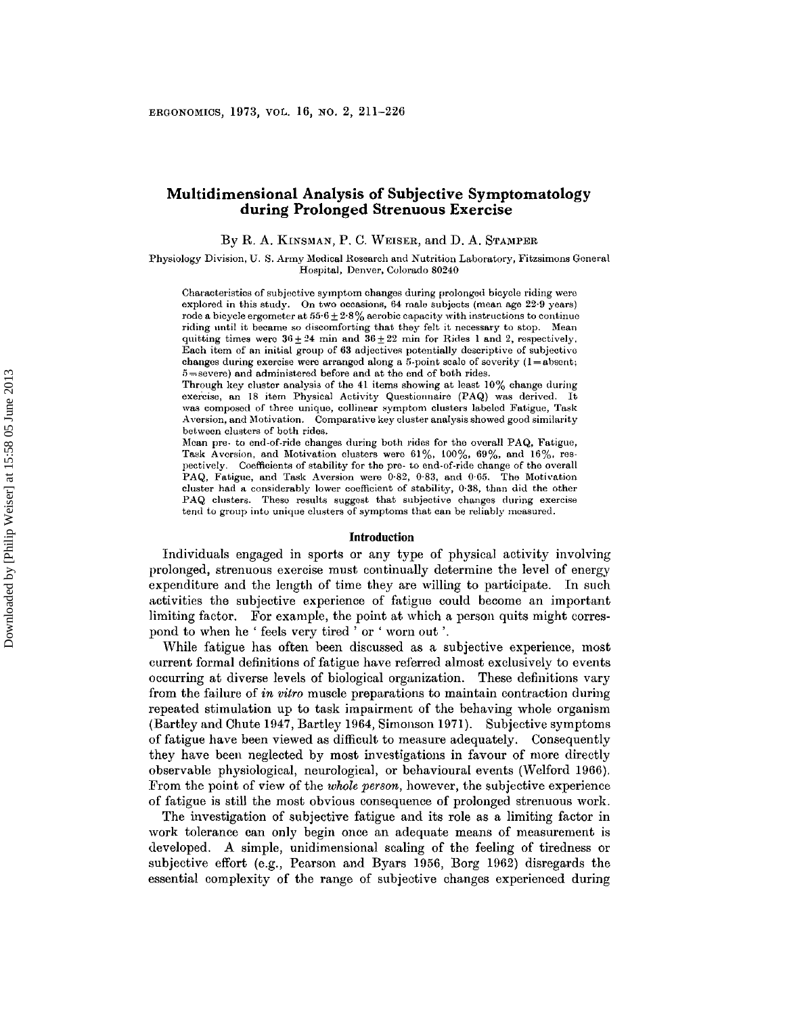### **Multidimensional Analysis of Subjective Symptomatology during Prolonged Strenuous Exercise**

By R. A. KINSMAN, P. C. WEISER, and D. A. STAMPER

**Physiology Division, U. S. Army** Medical Research **and Nutrition Laboratory,** Fitzsimons **General Hospital, Denver, Colorado 80240**

**Characteristics of subjective symptom changes during prolonged bicycle riding were explored in this study. On two occasions, 64 male subjects (mean age 22·9 years)** rode a bicycle ergometer at  $55.6 \pm 2.8\%$  aerobic capacity with instructions to continue **riding until it became so discomforting that they felt it necessary to stop. Mean** quitting times were  $36 \pm 24$  min and  $36 \pm 22$  min for Rides 1 and 2, respectively. **Each item of an initial group of 63** edjectdvee **potentially descriptive of subjective** changes during exercise were arranged along a  $5$ -point scale of severity  $(1 = a)$ bsent, 5 **<sup>=</sup> severe) and administered before and at the end of both rides.**

**Through key cluster analysis of the 41 items showing at least 10% change during exercise, an 18 item Physical Activity Questionnaire (PAQ) was derived. It was composed of three unique, collinear symptom clusters labeled Fatigue, Task Aversion, and** Motivation. **Comparative key cluster analysis showed good similarity between clusters of both rides.**

**Mean pre· to end-of-ride changes during** bot.h **rides for the overall PAQ, Fatigue,** Task Aversion, and Motivation clusters were  $61\%$ ,  $100\%$ ,  $69\%$ , and  $16\%$ , res**pectively. Coefficients of stability for the** pre- **to** end-of-ride **change of the overall PAQ, Fatigue, and Task Aversion were 0,82, 0,83, and 0·65. The Motivation cluster had a considerably lower coefficient of stability, 0·38, than did the other PAQ clusters. These results suggest that subjective changes during exercise tend to group into unique clusters of symptoms that can be reliably measured.**

#### **Introduction**

Individuals engaged in sports or any type of physical activity involving prolonged, strenuous exercise must continually determine the level of energy expenditure and the length of time they are willing to participate. In such activities the subjective experience of fatigue could become an important limiting factor. For example, the point at which a person quits might correspond to when he ' feels very tired ' or ' worn out '.

While fatigue has often been discussed as a subjective experience, most current formal definitions of fatigue have referred almost exclusively to events occurring at diverse levels of biological organization. These definitions vary from the failure of *in vitro* muscle preparations to maintain contraction during repeated stimulation up to task impairment of the behaving whole organism (Bartley and Chute 1947, Bartley 1964, Simonson 1971). Subjective symptoms of fatigue have been viewed as difficult to measure adequately. Consequently they have been neglected by most investigations in favour of more directly observable physiological, neurological, or behavioural events (Welford 1966). From the point of view of the *whole person,* however, the subjective experience of fatigue is still the most obvious consequence of prolonged strenuous work.

The investigation of subjective fatigue and its role as a limiting factor in work tolerance can only begin once an adequate means of measurement is developed. A simple, unidimensional scaling of the feeling of tiredness or subjective effort (e.g., Pearson and Byars 1956, Borg 1962) disregards the essential complexity of the range of subjective changes experienced during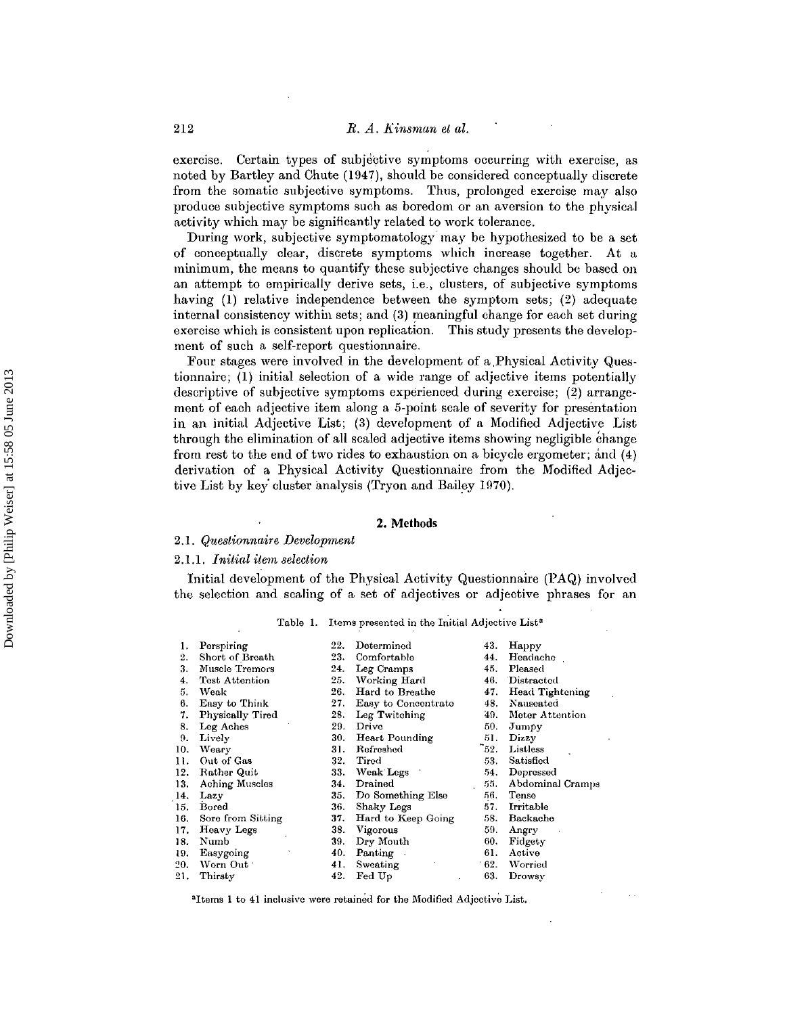exercise. Certain types of subjective symptoms occurring with exercise, as noted by Bartley and Chute (1947), should be considered conceptually discrete from the somatic subjective symptoms. Thus, prolonged exercise may also produce subjective symptoms such as boredom or an aversion to the physical activity which may be significantly related to work tolerance.

During work, subjective symptomatology may be hypothesized to be a set of conceptually clear, discrete symptoms which increase together. At a minimum, the means to quantify these subjective changes should be based on an attempt to empirically derive sets, i.e., clusters, of subjective symptoms having (1) relative independence between the symptom sets; (2) adequate internal consistency within sets; and (3) meaningful change for each set during exercise which is consistent upon replication. This study presents the development of such a self-report questionnaire,

Four stages were involved in the development of a .Physical Activity Questionnairc; (1) initial selection of a wide range of adjective items potentially descriptive of subjective symptoms experienced during exercise; (2) arrangement of each adjective item along a 5-point scale of severity for presentation in an initial Adjective List; (3) development of a Modified Adjective List through the elimination of all scaled adjective items showing negligible change from rest to the end of two rides to exhaustion on a bicycle ergometer; and (4) derivation of a Physical Activity Questionnaire from the Modified Adjective List by key cluster analysis (Tryon and Bailey 1970).

#### **2. Methods**

#### 2.1. Questionnaire Development

#### 2.1.1. *Initial item selection*

Initial development of the Physical Activity Questionnaire (PAQ) involved the selection and sealing of a set of adjectives or adjective phrases for an

|  |  | Table 1. Items presented in the Initial Adjective List <sup>a</sup> |  |  |  |  |  |
|--|--|---------------------------------------------------------------------|--|--|--|--|--|
|--|--|---------------------------------------------------------------------|--|--|--|--|--|

| 1.  | Perspiring            | 22. | Determined          | 43.  | Happy            |
|-----|-----------------------|-----|---------------------|------|------------------|
| 2.  | Short of Breath       | 23. | Comfortable         | 44.  | Headache         |
| 3.  | Muscle Tremors        | 24. | Leg Cramps          | 45.  | Pleased          |
| 4.  | Test Attention        | 25. | Working Hard        | 46.  | Distracted       |
| 5.  | Weak                  | 26. | Hard to Breathe     | 47.  | Head Tightening  |
| 6.  | Easy to Think         | 27. | Easy to Concentrate | 48.  | Nauseated        |
| 7.  | Physically Tired      | 28. | Leg Twitching       | 49.  | Meter Attention  |
| 8.  | Leg Aches             | 29. | Drivo               | 50.  | Jumpy            |
| 9.  | Lively                | 30. | Heart Pounding      | 51.  | Dizzy            |
| 10. | Weary                 | 31. | Refreshed           | -52. | Listless         |
| 11. | Out of Gas            | 32. | Tired               | 53.  | Satisfied        |
| 12. | Rather Quit           | 33. | Weak Legs           | 54.  | Depressed        |
| 13. | <b>Aching Muscles</b> | 34. | Drained             | 55.  | Abdominal Cramps |
| 14. | Lazy                  | 35. | Do Something Else   | 56.  | Tense            |
| 15. | Bored                 | 36. | Shaky Legs          | 57.  | Irritable        |
| 16. | Sore from Sitting     | 37. | Hard to Keep Going  | 58.  | Backache         |
| 17. | Heavy Legs            | 38. | Vigorous            | 59.  | Angry            |
| 18. | Numb                  | 39. | Dry Mouth           | 60.  | Fidgety          |
| 19. | Easygoing             | 40. | Panting             | 61.  | Active           |
| 20. | Worn Out:             | 41. | Sweating            | 62.  | Worried          |
| 21. | Thirsty               | 42. | Fed Up              | 63.  | Drowsy           |

"Items **1 to 41 inclusive were retained for the Modified** Adjective **List.**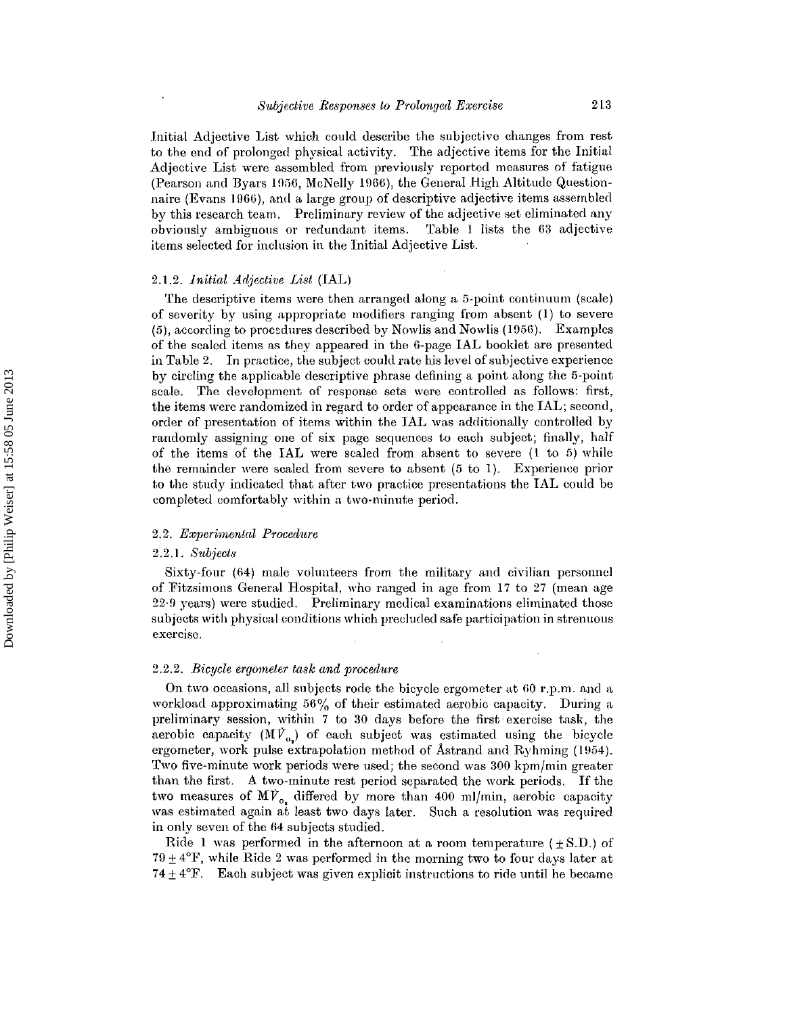Initial Adjective List which could describe the subjective changes from rest to the end of prolonged physical activity. The adjective items for the Initial Adjective List were assembled from previously reported measures of fatigue (Pearson and Byars 1956, McNelly 1966), the General High Altitude Questionnaire (Evans 106G), and a large group of descriptive adjective items assembled by this research team. Preliminary review of the adjective set eliminated any obviously ambiguous or redundant items. Table 1 lists the 63 adjective items selected for inclusion in the Initial Adjective List.

#### *2.1.2. Initial Adjective List* (IAL)

The descriptive items were then arranged along a 5-point continuum (scale) of severity by using appropriate modifiers ranging from absent (1) to severc (5), according to procedures described by Nowlis and Nowlis (1056). Examplcs of the scaled items as they appeared in the 6-page IAL booklet are presented in Table 2. In practice, the subject could rate his level of subjective experience by circling the applicable descriptive phrase defining a point along the 5-point scale. The development of response sets were controlled as follows: first, the items were randomized in regard to order of appearance in the IAL; second, order of presentation of items within the TAL was additionally controlled by randomly assigning one of six page sequences to each subject; finally, half of the items of the IAL were scaled from absent to severe (1 to 5) while the remainder were scaled from severe to absent (5 to 1). Experience prior to the study indicated that after two practice presentations the IAL could be completed comfortably within a two-minute period.

#### *2.2. Experimental Procedure*

#### *2.2.1. Subject»*

Sixty-four (64) male volunteers from the military and civilian personnel of Fitzsimons General Hospital, who ranged in age from 17 to 27 (mean age  $22.9$  years) were studied. Preliminary medical examinations eliminated those subjects with physical eonditions which precluded safe participation in strenuous exercise,

#### *2.2.2. Bicycle ergometer task and procedure*

On two occasions, all subjects rode the bicycle ergometer at GO r.p.m. and a workload approximating 56% of their estimated aerobic capacity. During a preliminary session, within 7 to 30 days before the firsb exercise task, the aerobic capacity  $(MV_{0})$  of each subject was estimated using the bicycle ergometer, work pulse extrapolation method of Astrand and Ryhming (1954). Two five-minute work periods were used; the second was 300 kpm/min greater than the first. <sup>A</sup> two-minute rest period separated the work periods. If the two measures of  $M\dot{V}_{o}$ , differed by more than 400 ml/min, aerobic capacity was estimated again at least two days later. Such a resolution was required in only seven of the 64 subjects studied.

Ride 1 was performed in the afternoon at a room temperature  $(+\text{S.D.})$  of 79  $\pm$  4 $\rm{°F}$ , while Ride 2 was performed in the morning two to four days later at 74  $\pm$  4 $\rm{F}$ . Each subject was given explicit instructions to ride until he became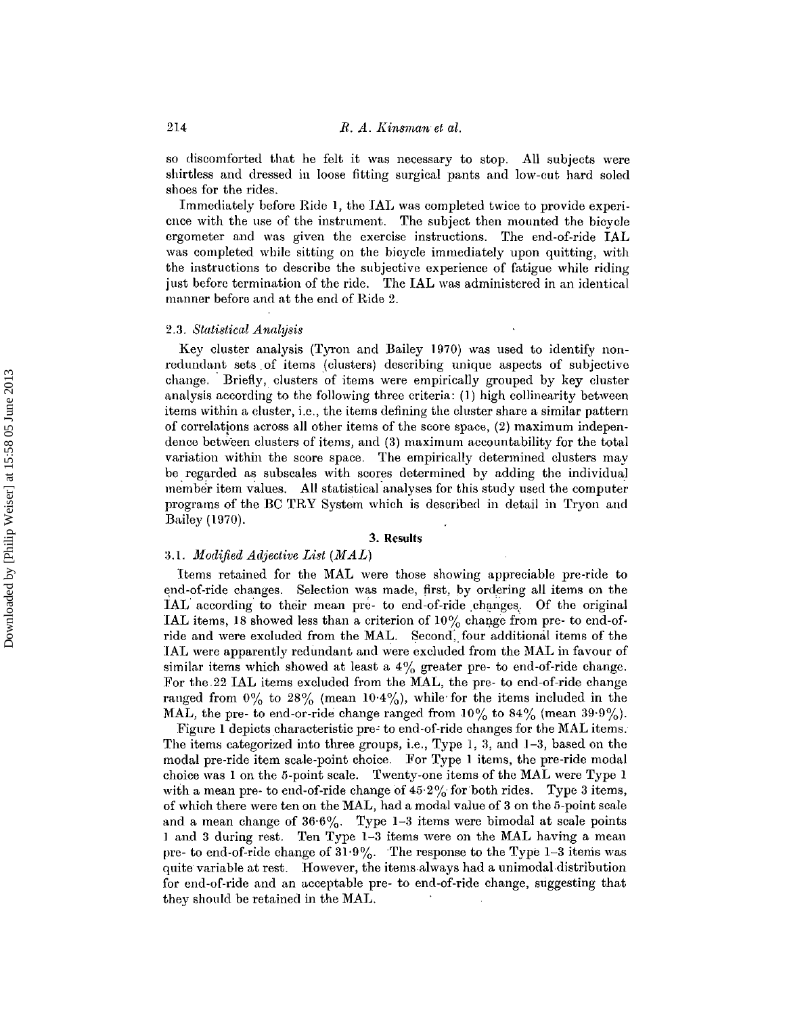so discomforted that he felt it was necessary to stop. All subjects were shirtless and dressed in loose fitting surgical pants and low-cut hard soled shoes for the rides.

Immediately before Ride 1, the JAL was completed twice to provide experience with the use of the instrument. The subject then mounted the bicycle ergometer and was given the exercise instructions. The end-of-ride IAL was completed while sitting on the bicycle immediately upon quitting, with the instructions to describe the subjective experience of fatigue while riding just before termination of the ride. The IAL was administered in an identical manner before and at the end of Ride 2.

#### *2.3. Statistical Analysis*

Key cluster analysis (Tyron and Bailey 1970) was used to identify nonredundant sets of items {clusters) describing unique aspects of subjective change.. Briefly, clusters of items were empirically grouped by key cluster analysis according to the following three criteria: (1) high eollinearity between items within a cluster, i.e., the items defining the cluster share a similar pattern of correlations across all other items of the score space, (2) maximum independence between clusters of items, and (3) maximum accountability for the total variation within the score space. The empirically determined clusters may be regarded as subseales with scores determined by adding the individual member item values. All statistical analyses for this study used the computer programs of the BC TRY System which is described in detail in Tryon and Bailey (1970).

#### 3. **Results**

#### :3.1. *lIfodijied Adjective List (MAL)*

Items retained for the MAL were those showing appreciable pre-ride to end-of-ride changes. Selection was made, first, by ordering all items on the IAL according to their mean pre- to end-of-ride changes. Of the original IAL items, 18 showed less than a criterion of  $10\%$  change from pre- to end-ofride and were excluded from the MAL. Second, four additional items of the JAL were apparently redundant and were excluded from the MAL in favour of similar items which showed at least a  $4\%$  greater pre- to end-of-ride change. For the.22 IAL items excluded from the MAL, the pre- to end-of-ride change ranged from  $0\%$  to  $28\%$  (mean  $10.4\%$ ), while for the items included in the MAL, the pre- to end-or-ride change ranged from  $10\%$  to  $84\%$  (mean  $39.9\%$ ).

Figure 1 depicts characteristic pre' to end-of-ride changes for the MAL items. The items categorized into three groups, i.e., Type **1,** 3, and 1-3, based on the modal pre-ride item scale-point choice. For Type 1 items, the pre-ride modal choice was 1 on the 5-point scale. Twenty-one items of the MAL were Type 1 with a mean pre- to end-of-ride change of  $45.2\%$  for both rides. Type 3 items, of which there were ten on the MAL, had a modal value of 3 on the 5-point scale and a mean change of  $36.6\%$ . Type 1-3 items were bimodal at scale points 1 and 3 during rest. Ten Type 1-3 items were on the MAL having a mean pre- to end-of-ride change of  $31.9\%$ . The response to the Type 1-3 items was quite variable at rest. However, the items always had a unimodal distribution for end-of-ride and an acceptable pre- to end-of-ride change, suggesting that they should be retained in the MAL.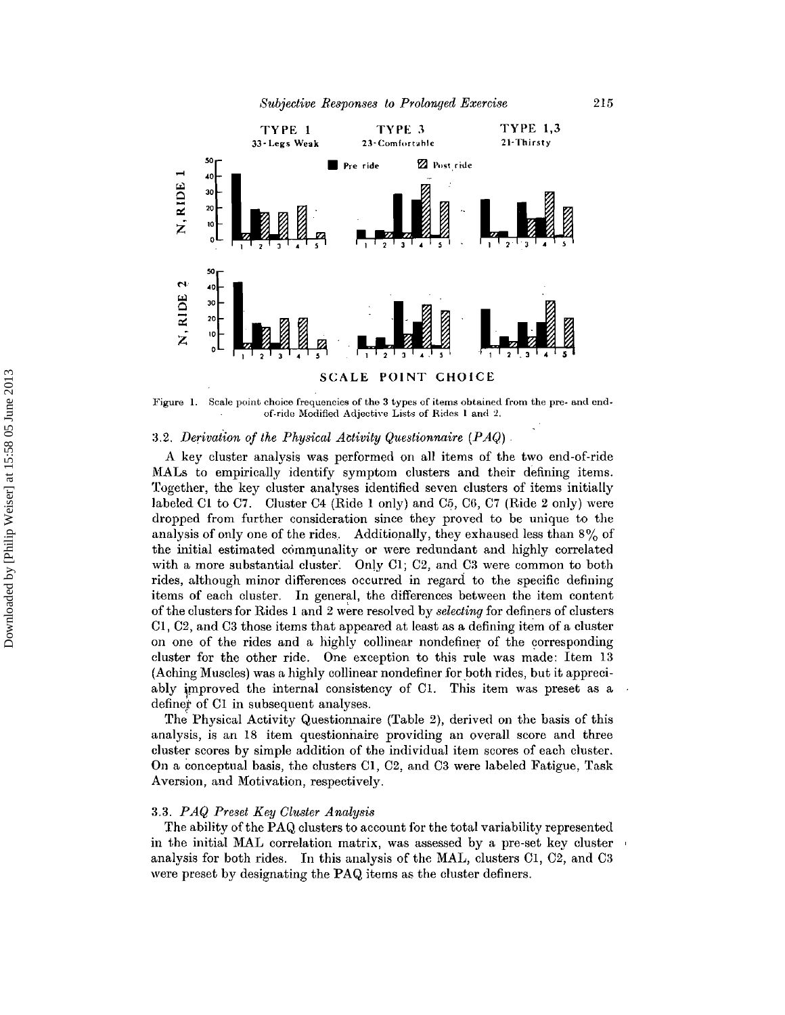

Figure 1. Scale point choice frequencies of the 3 types of items obtained from the pre- and endof-ride Modified Adjective Lists of Rides 1 and 2.

#### 3.2. Derivation of the Physical Activity Questionnaire (PAQ).

A key cluster analysis was performed on all items of the two end-of-ride MALs to empirically identify symptom clusters and their defining items. Together, the key cluster analyses identified seven clusters of items initially labeled Ol to C7. Cluster C4 (Ride 1 only) and C5, C6, C7 (Ride 2 only) were dropped from further consideration since they proved to be unique to the analysis of only one of the rides. Additionally, they exhaused less than  $8\%$  of the initial estimated communality or were redundant and highly correlated with a more substantial cluster. Only  $Cl$ ;  $Cl$  and  $Cl$  were common to both rides, although minor differences occurred in regard to the specific defining items of each cluster. In general, the differences between the item content ofthe clusters for Rides 1 and 2 were resolved by *selecting* for definers of clusters C1, C2, and C3 those items that appeared at least as a defining item of a cluster on one of the rides and a highly collinear nondefiner of the corresponding cluster for the other ride. One exception to this rule was made: Item 13 (Aching Muscles) was a highly collinear nondefiner for both rides, but it appreciably improved the internal consistency of C1. This item was preset as a definer of Cl in subsequent analyses.

The Physical Activity Questionnaire (Table 2), derived on the basis of this analysis, is an 18 item questionnaire providing an overall score and three cluster scores by simple addition of the individual item scores of each cluster. On a conceptual basis, the clusters Cl, C2, and C3 were labeled Fatigue, Task Aversion, and Motivation, respectively.

#### *3.3. PAQ Preset Key Cluster Analysis*

The ability of the PAQ clusters to account for the total variability represented in the initial MAL correlation matrix, was assessed by a pre-set key cluster ' analysis for both rides. In this analysis of the MAL, clusters Ol , C2, and C3 were preset by designating the PAQ items as the cluster definers.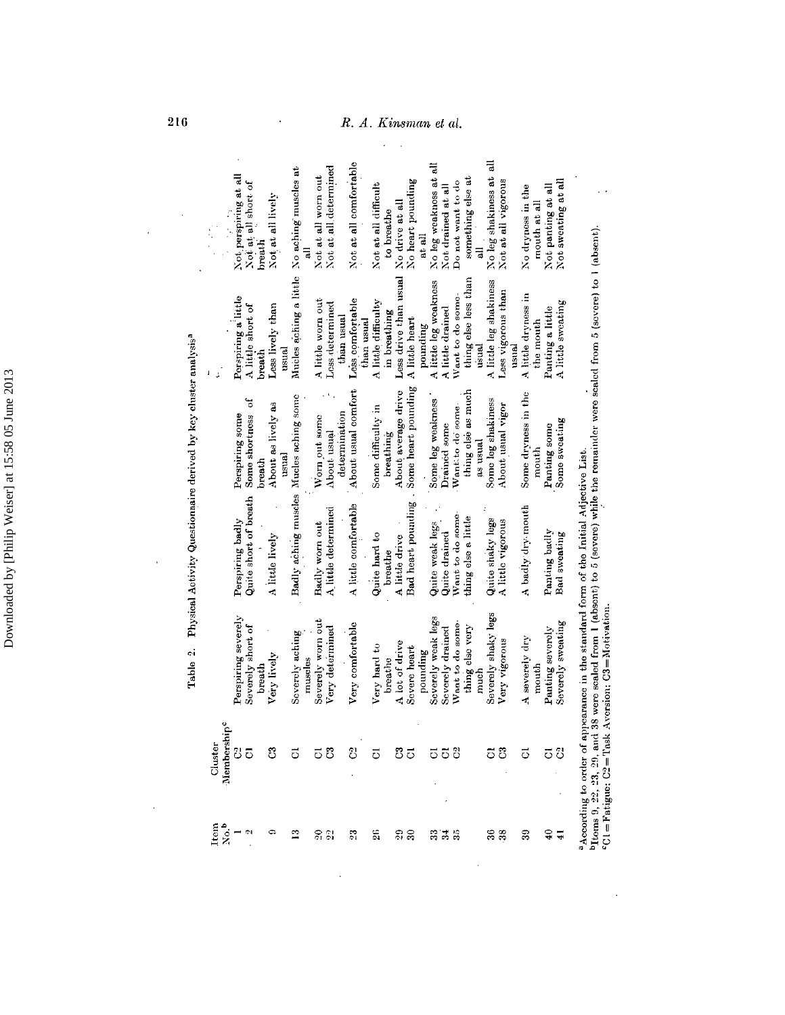|                                    |                                              |                                         |                                         |                                                    | R,                             |                                     |                                                     | A. Kinsman et al.                                                                              |                                                       |                                                                     |                                                                                                                                                  |
|------------------------------------|----------------------------------------------|-----------------------------------------|-----------------------------------------|----------------------------------------------------|--------------------------------|-------------------------------------|-----------------------------------------------------|------------------------------------------------------------------------------------------------|-------------------------------------------------------|---------------------------------------------------------------------|--------------------------------------------------------------------------------------------------------------------------------------------------|
|                                    | Not perspiring at all<br>Not at all short of | Not at all lively<br>breath             | No aching muscles at                    | Not at all determined<br>Not at all worn out       | Not at all comfortable         | Not at all difficult<br>to breathe  | No heart pounding<br>No drive at all<br>at all      | No leg weakness at all<br>something else at<br>Do not want to do<br>Not drained at all<br>급    | No leg shakiness at all<br>Not at all vigorous        | No dryness in the<br>Not panting at all<br>mouth at all             | Not sweating at all                                                                                                                              |
| $\mathbb{F}$                       | Porspiring a little<br>A little short of     | Less lively than<br>breath              | Mucles aching a little<br>usual         | A little worn out<br>Less determined<br>than usual | Less comfortable<br>than usual | A little difficulty<br>in breathing | Less drive than usual<br>A little heart<br>pounding | thing else less than<br>A little leg weakness<br>Want to do some-<br>A little drained<br>usual | A little leg shakiness<br>Less vigorous than<br>usual | A little dryness in<br>Panting a little<br>the mouth                | scaled from 1 (absent) to 5 (severe) while the remainder were scaled from 5 (severe) to 1 (absent).<br>A little sweating                         |
|                                    | ð<br>Some shortness<br>Perspiring some       | About as lively as<br>$usual$<br>breath |                                         | determination<br>Worn out some<br>About usual      | About usual comfort            | Some difficulty in<br>breathing     | Some heart pounding<br>About average drive          | thing else as much<br>Some leg weakness<br>Want to do some-<br>Drained some<br>as usual        | Some leg shakiness<br>About usual vigor               | Some dryness in the<br>Panting some<br>mouth                        | Some sweating                                                                                                                                    |
|                                    | Quite short of breath<br>Perspiring badly    | A little lively                         | Badly aching muscles Mucles aching some | A little determined<br>Badly worn out              | A little comfortable           | Quite hard to<br>breathe            | Bad heart pounding<br>A little drive                | Want to do some-<br>thing else a little<br>Quite weak legs<br>Quite drained                    | Quite shaky legs<br>A little vigorous                 | A badly dry mouth<br>Panting badly                                  | <b>Bad</b> sweating                                                                                                                              |
|                                    | Perspiring severely<br>Severely short of     | Very lively<br>breath                   | Severely aching<br>muscles              | Severely worn out<br>Very determined               | Very comfortable               | Very hard to<br>breathe             | A lot of drive<br>Severe heart<br>pounding          | Severely weak legs<br>Severely drained<br>Want to do some-<br>thing else very<br>much          | Severely shaky legs<br>Very vigorous                  | Panting severely<br>Severely sweating<br>severely dry<br>mouth<br>4 | <sup>a</sup> According to order of appearance in the standard form of the Initial Adjective List.<br>C1=Fatigue: C2=Task Aversion; C3=Motivation |
| Membership <sup>c</sup><br>Cluster | $\overline{5}$                               | පී                                      | 5                                       | ස<br>5                                             | ව                              | ಕ                                   | පී<br>$\overline{5}$                                | පි<br>$\vec{\circ}$<br>5                                                                       | පි<br>ె                                               | 5<br>ಕ                                                              | $^{\rm b}$ Itoms 9, 22, 23, 29, and 38 were<br>පි                                                                                                |
| No. <sup>b</sup><br>Item           | $\overline{\mathbf{c}}$                      | ¢                                       | ≌                                       | 20 S                                               | $\mathbb{Z}^2$                 | ã                                   | <u>នា</u>                                           | ಇ`ಸೆ ಇ                                                                                         | $\frac{36}{5}$<br>38                                  | $\overline{40}$<br>39                                               | न्न                                                                                                                                              |

 $\sim$   $\sim$ 

**216** 

 $\hat{\mathcal{A}}$ 

 $\bar{\mathcal{A}}$ 

 $\bar{\beta}$ 

 $\mathcal{A}$ 

 $\bar{\phantom{a}}$ 

#### ısman

 $\ddot{\phantom{a}}$ 

 $\mathcal{L}_{\mathcal{L}}$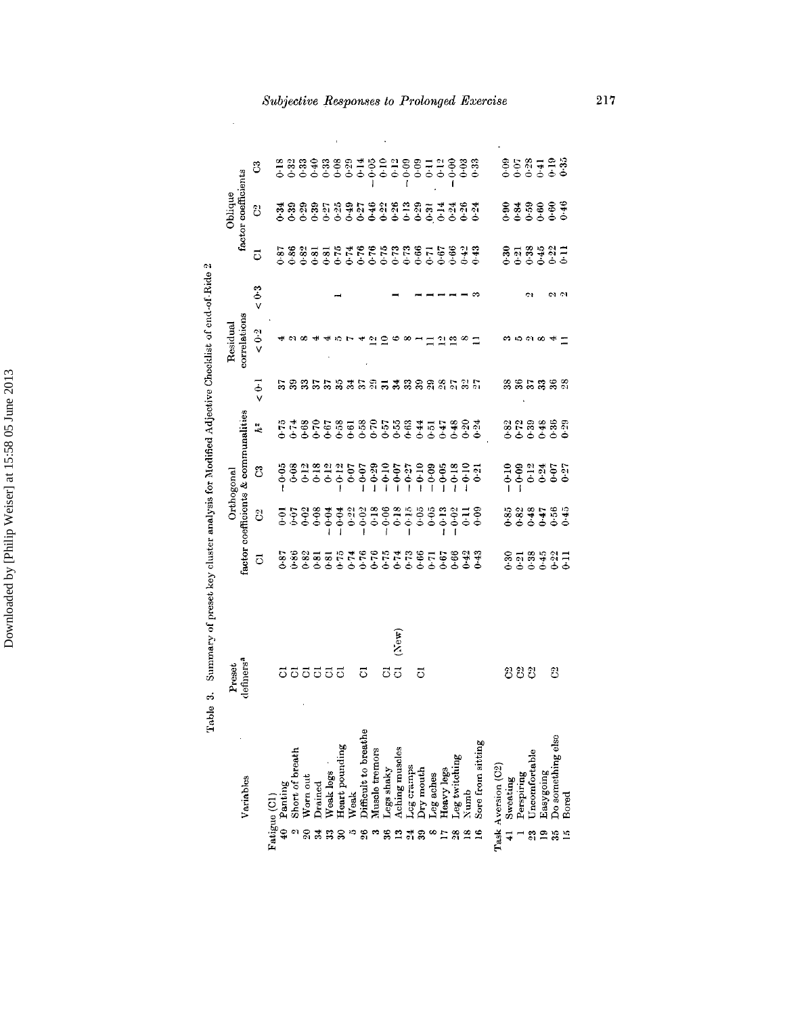| Variables                                                                                                                                                                                                                                               | Preset     |         |                                  | Orthogonal                         |                                           |                      | Residual     |            |                  | Oblique<br>factor coefficients |                                             |
|---------------------------------------------------------------------------------------------------------------------------------------------------------------------------------------------------------------------------------------------------------|------------|---------|----------------------------------|------------------------------------|-------------------------------------------|----------------------|--------------|------------|------------------|--------------------------------|---------------------------------------------|
|                                                                                                                                                                                                                                                         | definers'  |         |                                  | actor coefficients & communalities |                                           |                      | correlations |            |                  |                                |                                             |
|                                                                                                                                                                                                                                                         |            | 5       | 8                                | ි                                  | $\tilde{h}^2$                             | $\overline{\bullet}$ | $\leq 0.2$   | $\leq 0.3$ | 5                | ပြ                             | ී                                           |
|                                                                                                                                                                                                                                                         |            |         |                                  |                                    |                                           |                      |              |            |                  |                                |                                             |
|                                                                                                                                                                                                                                                         | 5          |         |                                  |                                    |                                           |                      |              |            |                  |                                |                                             |
|                                                                                                                                                                                                                                                         |            |         |                                  |                                    |                                           |                      |              |            |                  |                                |                                             |
|                                                                                                                                                                                                                                                         |            |         |                                  |                                    |                                           |                      |              |            |                  |                                |                                             |
|                                                                                                                                                                                                                                                         |            |         |                                  |                                    |                                           |                      |              |            |                  |                                |                                             |
|                                                                                                                                                                                                                                                         | 88888      |         |                                  |                                    |                                           |                      |              |            |                  |                                |                                             |
|                                                                                                                                                                                                                                                         |            |         |                                  |                                    |                                           |                      |              |            |                  |                                |                                             |
|                                                                                                                                                                                                                                                         |            |         |                                  |                                    |                                           |                      |              |            |                  |                                |                                             |
|                                                                                                                                                                                                                                                         | 5          |         |                                  |                                    |                                           |                      |              |            |                  |                                |                                             |
|                                                                                                                                                                                                                                                         |            |         |                                  |                                    |                                           |                      |              |            |                  |                                |                                             |
|                                                                                                                                                                                                                                                         | ة          |         |                                  |                                    |                                           | 853                  |              |            |                  |                                | 888988881888188518888<br>666666666666666666 |
|                                                                                                                                                                                                                                                         | (New)<br>5 |         |                                  |                                    |                                           |                      |              |            |                  |                                |                                             |
|                                                                                                                                                                                                                                                         |            |         |                                  |                                    |                                           | 32 S                 |              |            |                  |                                |                                             |
|                                                                                                                                                                                                                                                         | ៊          |         |                                  |                                    |                                           |                      |              |            |                  |                                |                                             |
|                                                                                                                                                                                                                                                         |            |         |                                  |                                    |                                           |                      |              |            |                  |                                |                                             |
|                                                                                                                                                                                                                                                         |            |         |                                  |                                    |                                           | និន្នី ខ្លួ          |              |            |                  |                                |                                             |
|                                                                                                                                                                                                                                                         |            |         |                                  |                                    |                                           |                      |              |            |                  |                                |                                             |
|                                                                                                                                                                                                                                                         |            |         |                                  |                                    |                                           |                      |              |            |                  |                                |                                             |
| Fatigue (C1)<br>$40$ Panting<br>$40$ Panting<br>$20$ Norn out<br>$31$ Drained<br>$32$ Weak logs<br>$33$ Weak logs<br>$35$ Weak<br>$36$ Heart pounding<br>$38$ Muscle termors<br>$38$ Muscle termors<br>$38$ Muscle termors<br>$34$ Leg shaky<br>$16$ Le |            |         |                                  |                                    |                                           |                      |              |            |                  |                                |                                             |
| Task Aversion (C2)                                                                                                                                                                                                                                      |            |         |                                  |                                    |                                           |                      |              |            |                  |                                |                                             |
|                                                                                                                                                                                                                                                         |            |         |                                  |                                    |                                           |                      |              |            |                  |                                |                                             |
|                                                                                                                                                                                                                                                         | පි         |         |                                  |                                    |                                           |                      |              |            |                  |                                |                                             |
|                                                                                                                                                                                                                                                         | පි         |         |                                  |                                    |                                           | 57                   |              |            |                  |                                |                                             |
| Sweating<br>Perspiring<br>Uncomfortable<br>Easygoing<br>Do something else<br>Do something else<br>នាំ គ                                                                                                                                                 |            | 2539921 | ិនី<br>ប្រកួត<br>និង ក្នុង ក្នុង | 0.000000000000                     | 3 2 3 3 3 3<br>3 2 3 4 5 5<br>0 6 6 6 6 6 |                      |              |            | 858981<br>858981 | 2333227                        | 858728<br>66666                             |
| ్లు                                                                                                                                                                                                                                                     | 윰          |         |                                  |                                    |                                           | 38                   |              |            |                  |                                |                                             |
| $\mathbb{E}$                                                                                                                                                                                                                                            |            |         |                                  |                                    |                                           | $\frac{8}{2}$        |              |            |                  |                                |                                             |

Subjective Responses to Prolonged Exercise

Table 3. Summary of preset key cluster analysis for Modified Adjective Checklist of end-of-Ride 2

 $\hat{\mathcal{A}}$ 

217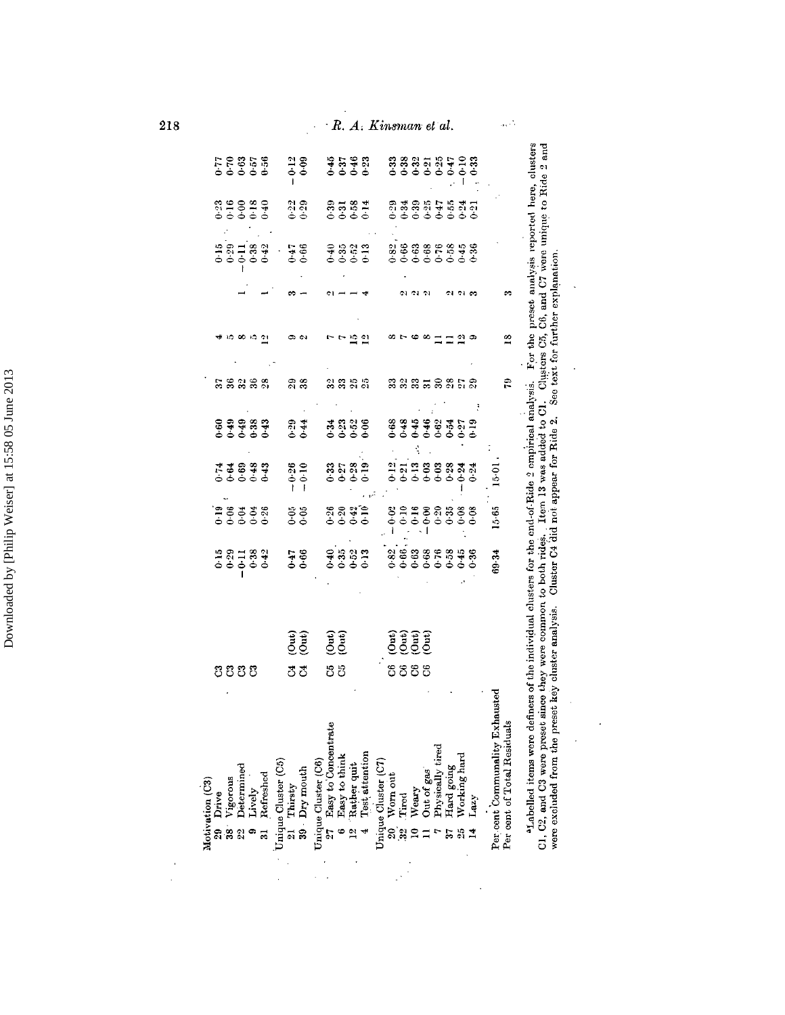|  |      | 823871<br>200000        |                                                                                         |                          | $0.12$<br>$0.09$                                    |                                                                                                             |                                                | ងនិង<br><b>គំនិង</b>  | R. A. Kinsman et al. |                                |                                           |   |  |   | 888556528<br>66666666                                                                                                                            |                                |                             |
|--|------|-------------------------|-----------------------------------------------------------------------------------------|--------------------------|-----------------------------------------------------|-------------------------------------------------------------------------------------------------------------|------------------------------------------------|-----------------------|----------------------|--------------------------------|-------------------------------------------|---|--|---|--------------------------------------------------------------------------------------------------------------------------------------------------|--------------------------------|-----------------------------|
|  |      |                         |                                                                                         |                          |                                                     |                                                                                                             |                                                |                       |                      |                                |                                           |   |  |   |                                                                                                                                                  |                                |                             |
|  |      |                         | 330039<br>000000                                                                        |                          | 2월<br>이후<br>이후                                      |                                                                                                             |                                                | 3331<br>3581          |                      |                                | ត្តងន្តុង ចូន ដូច<br>តាំងនិង អ្នកនិងត្    |   |  |   |                                                                                                                                                  |                                |                             |
|  |      |                         |                                                                                         | 1881 - 189<br>66666 - 66 |                                                     |                                                                                                             |                                                | 국음음<br>0.00 0<br>0.00 |                      |                                | 8268868888<br>666666666                   |   |  |   |                                                                                                                                                  |                                |                             |
|  |      |                         |                                                                                         |                          |                                                     |                                                                                                             |                                                |                       |                      |                                |                                           |   |  |   |                                                                                                                                                  |                                |                             |
|  |      |                         |                                                                                         |                          |                                                     |                                                                                                             |                                                |                       |                      |                                |                                           |   |  | 의 |                                                                                                                                                  |                                | $\frac{8}{10}$              |
|  |      | <u>ននននន្ន</u>          |                                                                                         |                          | 38                                                  |                                                                                                             | ងនងត្                                          |                       |                      |                                | និងនិដ្ឋទន្លងនិ                           |   |  |   |                                                                                                                                                  |                                | Ê                           |
|  |      |                         | 89989<br>89989<br>66666                                                                 |                          | 0.44                                                |                                                                                                             | 3328<br>0000                                   |                       |                      |                                | 888888355<br>66666666                     |   |  |   |                                                                                                                                                  |                                |                             |
|  |      | 73333<br>00000          |                                                                                         |                          | $-0.26$<br>$-0.10$                                  |                                                                                                             |                                                | $33.38 - 0.5$         |                      |                                | 25288833                                  |   |  |   |                                                                                                                                                  | $15-01$                        |                             |
|  |      | 128338<br>00000         |                                                                                         |                          | $\begin{array}{c} 6.66 \\ 0.6 \end{array}$          |                                                                                                             | ลลมา<br>อ้อออ                                  |                       |                      |                                | 8<br>8 3 3 3 3 3 8 8 8<br>6 6 6 6 6 6 6 6 |   |  |   |                                                                                                                                                  | 15.65                          |                             |
|  |      | 1921334<br>1925<br>1936 |                                                                                         |                          | 0.66                                                |                                                                                                             | $-2883$                                        |                       |                      | <b>226888898</b><br>0000000000 |                                           |   |  |   |                                                                                                                                                  | 69.34                          |                             |
|  |      |                         |                                                                                         |                          | (၁။)<br>(ဝါ။)                                       |                                                                                                             | $\begin{pmatrix} 0 & 1 \\ 0 & 0 \end{pmatrix}$ |                       |                      |                                | en<br>Ligge<br>Distriction                |   |  |   |                                                                                                                                                  |                                |                             |
|  | ຬຬຬຬ |                         |                                                                                         |                          | కి కి                                               |                                                                                                             | ង ង                                            |                       |                      |                                | ទីខីទី                                    | 8 |  |   |                                                                                                                                                  |                                |                             |
|  |      |                         | Motivation (C3)<br>29 Drive<br>38 Vigorous<br>32 Determined<br>9 Lively<br>31 Refreshed |                          | Unique Cluster (C5)<br>21 Thirsty<br>39 · Dry mouth | Unique Cluster (C6)<br>27 Easy to Concentrate<br>6 Easy to think<br>12 Test, attention<br>4 Test, attention |                                                |                       |                      |                                |                                           |   |  |   | Unique Cluster (C7)<br>20 Worn out<br>32 Tired<br>10 Weary<br>11 Out of gas<br>7 Physically tired<br>37 Hard going<br>25 Working hard<br>14 Lazy | Per cent Communality Exhausted | Per cent of Total Residuals |

218

 $\begin{pmatrix} 1 \\ 1 \\ 2 \end{pmatrix}$ 

## $R. A.$  Kinsman et al.

 $\cdot$ 

01, 02, and 00 were preset since easy were commune to pour ruces. Then it was admed to 01. Consecus 0.6, 00, and 0.1 were explanation.<br>were excluded from the preset key cluster analysis. Cluster 04 did not appear for Ride

 $\bar{\mathcal{A}}$ 

 $\frac{1}{2}$ 

 $\ddot{\phantom{1}}$ 

 $\ddot{\phantom{0}}$ 

 $\hat{\mathcal{A}}$ 

 $\ddot{\phantom{0}}$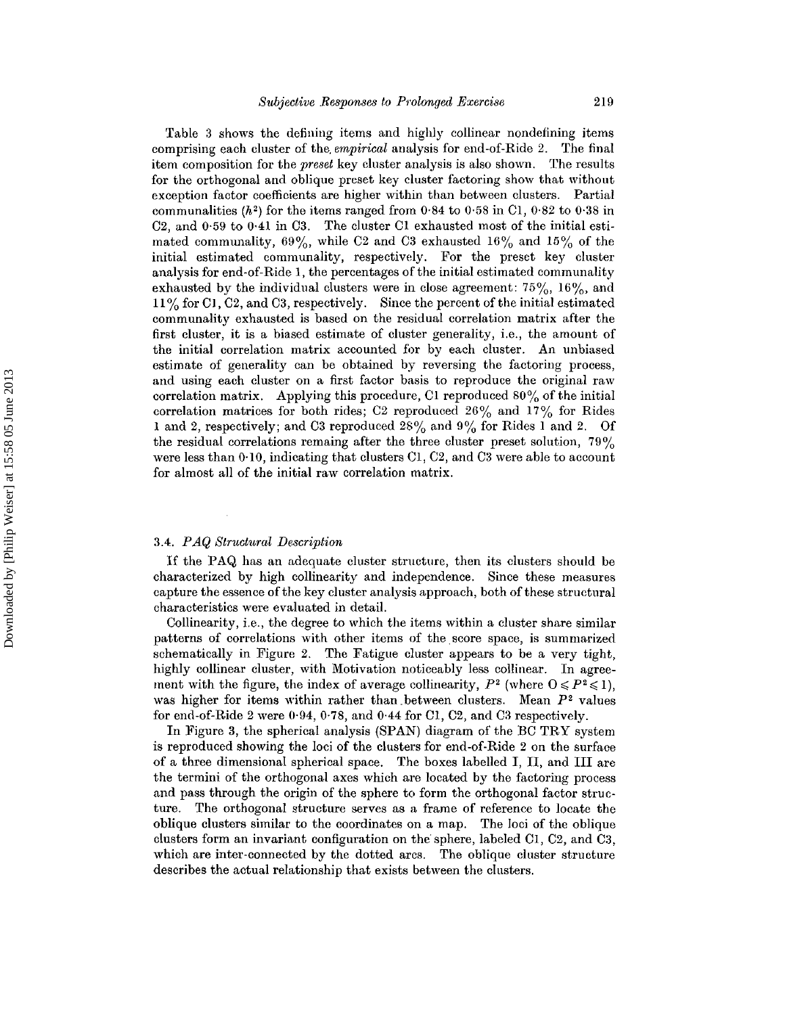Table 3 shows the defining items and highly collinear nondefining items comprising each cluster of the. *empirical* analysis for end-of-Ride 2. The final item composition for the *preset* key cluster analysis is also shown. The results for the orthogonal and oblique preset key cluster factoring show that without exception factor coefficients are higher within than between clusters. Partial communalities ( $h^2$ ) for the items ranged from 0.84 to 0.58 in C1, 0.82 to 0.38 in C2, and 0·59 to 0·41 in C3. The cluster Cl exhausted most of the initial estimated communality,  $69\%$ , while C2 and C3 exhausted  $16\%$  and  $15\%$  of the initial estimated communality, respectively. For the preset key cluster analysis for end-of-Ride I, the percentages of the initial estimated communality exhausted by the individual clusters were in close agreement:  $75\%$ ,  $16\%$ , and  $11\%$  for C1, C2, and C3, respectively. Since the percent of the initial estimated communality exhausted is based on the residual correlation matrix after the first cluster, it is a biased estimate of cluster generality, i.e., the amount of the initial correlation matrix accounted for by each cluster. An unbiased estimate of generality can be obtained by reversing the factoring process, and using each cluster on a first factor basis to reproduce the original raw correlation matrix. Applying this procedure, C1 reproduced  $80\%$  of the initial correlation matrices for both rides; C2 reproduced  $26\%$  and  $17\%$  for Rides 1 and 2, respectively; and C3 reproduced  $28\%$  and  $9\%$  for Rides 1 and 2. Of the residual correlations remaing after the three cluster preset solution, 79% were less than  $0.10$ , indicating that clusters C1, C2, and C3 were able to account for almost all of the initial raw correlation matrix.

#### *3.4. P AQ Structural Description*

If the PAQ has an adequate cluster structure, then its clusters should be characterized by high collinearity and independence. Since these measures capture the essence of the key cluster analysis approach, both of these structural characteristics were evaluated in detail.

Collinearity, i.e., the degree to which the items within a cluster share similar patterns of correlations with other items of the score space, is summarized schematically in Figure 2. The Fatigue cluster appears to be a very tight, highly collinear cluster, with Motivation noticeably less collinear. In agreement with the figure, the index of average collinearity,  $P^2$  (where  $0 \leq P^2 \leq 1$ ), was higher for items within rather than between clusters. Mean  $P^2$  values for end-of-Ride 2 were  $0.94$ ,  $0.78$ , and  $0.44$  for Cl, C2, and C3 respectively.

In Figure 3, the spherical analysis (SPAN) diagram of the BC TRY system is reproduced showing the loci of the clusters for end-of-Ride 2 on the surface of a three dimensional spherical space. The boxes labelled I, II, and III are the termini of the orthogonal axes which are located by the factoring process and pass through the origin of the sphere to form the orthogonal factor structure. The orthogonal structure serves as a frame of reference to locate the oblique clusters similar to the coordinates on a map. The loci of the oblique clusters form an invariant configuration on the sphere, labeled  $Cl$ ,  $Cl$ , and  $Cl$ , which are inter-connected by the dotted arcs. The oblique cluster structure describes the actual relationship that exists between the clusters.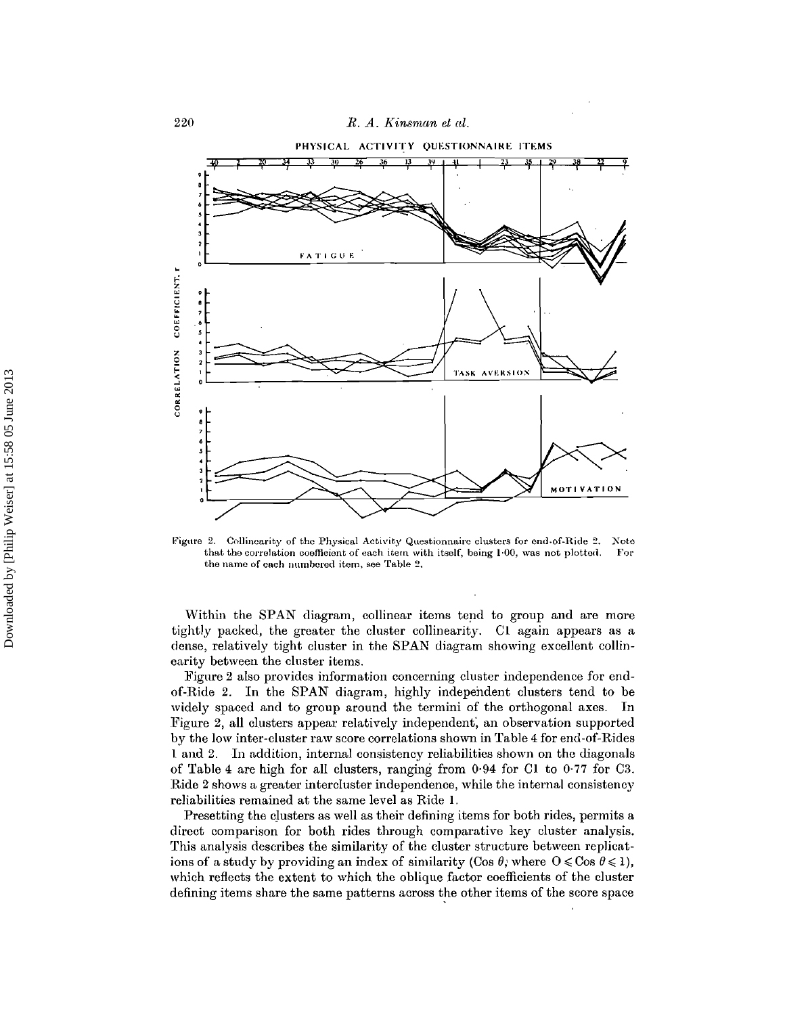

**Figure** 2. Collinearity of the Physical Activity Questionnaire clusters for end-of-Ride 2. Note that the correlation coefficient of each item with itself, heing 1:00, was not plotted. For  $t$ hat the correlation coefficient of each item with itself, being  $1.00$ , was not plotted.  $t$ he name of each numbered item, see Table 2.

Within the SPAN diagram, collinear items tend to group and are more tightly packed, the greater the cluster collinearity. 01 again appears as a dense, relatively tight cluster in the SPAN diagram showing excellent collinearity between the cluster items.

Figure 2 also provides information concerning cluster independence for endof-Ride 2. In the SPAN diagram, highly independent clusters tend to be widely spaced and to group around the termini of the orthogonal axes. In Figure 2, all clusters appear relatively independent; an observation supported by the low inter-cluster raw score correlations shown in Table 4 for end-of-Rides 1 and 2. In addition, internal consistency reliabilities shown on the diagonals of Table 4 are high for all clusters, ranging from 0·94 for Cl to 0·77 for 03. Ride 2 shows a greater intercluster independence, while the internal consistency reliabilities remained at the same level as Ride 1.

Presetting the clusters as well as their defining items for both rides, permits a direct comparison for both rides through comparative key cluster analysis. This analysis describes the similarity of the cluster structure between replications of a study by providing an index of similarity (Cos  $\theta$ ; where  $0 \leq C$ os  $\theta \leq 1$ ), which reflects the extent to which the oblique factor coefficients of the cluster defining items share the same patterns across the other items of the score space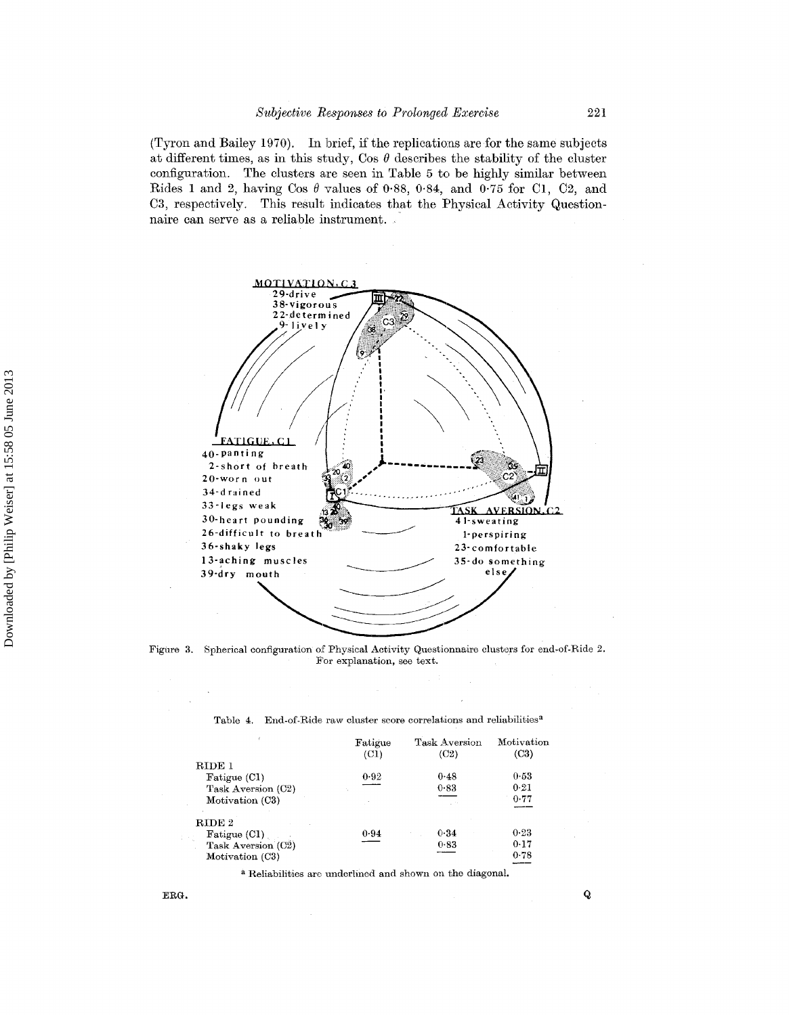(Tyron and Bailey 1970). In brief, if the replications are for the same subjects at different times, as in this study, Cos  $\theta$  describes the stability of the cluster configuration. The clusters are seen in Table 5 to be highly similar between Rides 1 and 2, having Cos  $\theta$  values of 0.88, 0.84, and 0.75 for Cl, C2, and C3, respectively. This result indicates that the Physical Activity Questionnaire can serve as a reliable instrument. '



Figure 3. Spherical configuration of Physical Activity Questionnaire clusters for end-of-Ride 2. For explanation, see text.

|                    | Fatigue<br>(C1) | Task Aversion<br>(C2) | Motivation<br>(C3) |
|--------------------|-----------------|-----------------------|--------------------|
| RIDE 1             |                 |                       |                    |
| Fatigue (CI)       | 0.92            | 0.48                  | 0.53               |
| Task Aversion (C2) |                 | 0.83                  | 0.21               |
| Motivation (C3)    |                 |                       | 0.77               |
| RIDE 2             |                 |                       |                    |
| Fatigue $(Cl)$     | 0.94            | 0.34                  | 0.23               |
| Task Aversion (C2) |                 | 0.83                  | 0.17               |
| Motivation (C3)    |                 |                       | 0.78               |

Table 4. End-of-Ride raw cluster score correlations and reliabilities<sup> $a$ </sup>

a Reliabilities are underlined and shown on the diagonal.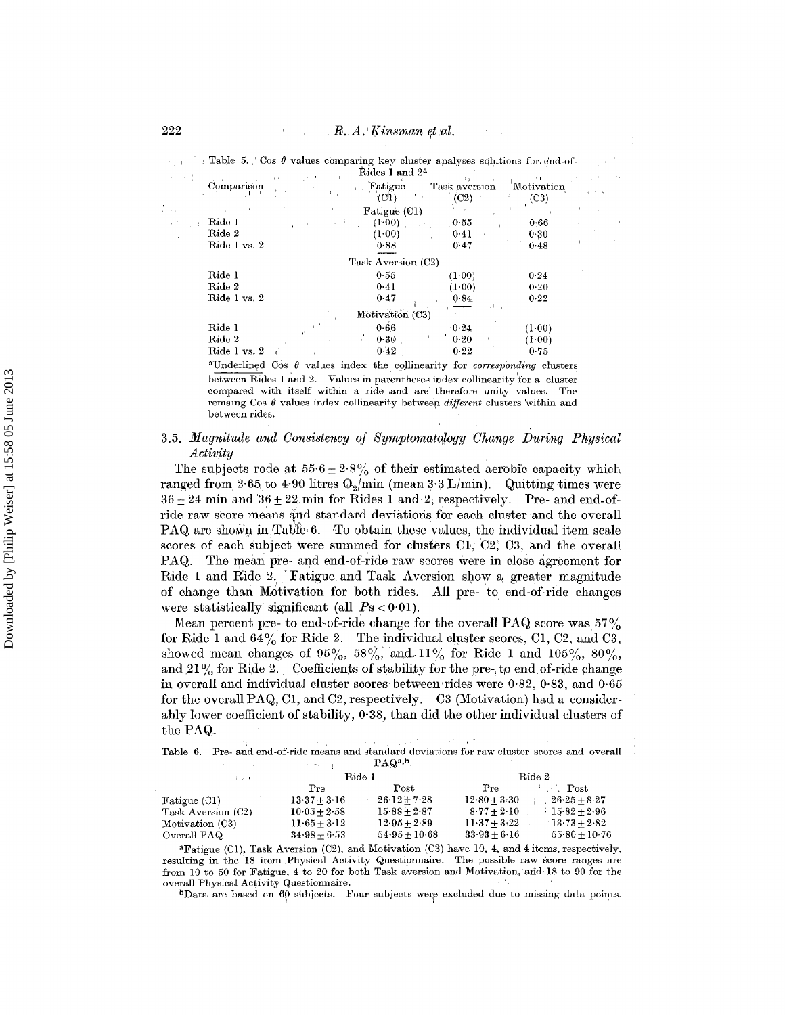$\sim 10^{-1}$ 

|              | Table 5. Cos $\theta$ values comparing key cluster analyses solutions for end-of- | Rides 1 and 2 <sup>a</sup> |                       |                    |  |
|--------------|-----------------------------------------------------------------------------------|----------------------------|-----------------------|--------------------|--|
| Comparison   |                                                                                   | Fatigue<br>(C1)            | Task aversion<br>(C2) | Motivation<br>(C3) |  |
|              |                                                                                   | Fatigue (C1)               |                       |                    |  |
| Ride 1       |                                                                                   | (1.00)                     | $-0.55$               | 0.66               |  |
| Ride 2       |                                                                                   | (1.00)                     | 0.41                  | 0.30               |  |
| Ride 1 vs. 2 |                                                                                   | 0.88                       | 0.47                  | 0.48               |  |
|              |                                                                                   | Task Aversion (C2)         |                       |                    |  |
| Ride 1       |                                                                                   | 0.55                       | (1.00)                | 0.24               |  |
| Ride 2       |                                                                                   | 0.41                       | (1-00)                | $0 - 20$           |  |
| Ride 1 vs. 2 |                                                                                   | 0.47                       | 0.84                  | 0.22               |  |
|              |                                                                                   | Motivation (C3)            |                       |                    |  |
| Ride 1       |                                                                                   | 0.66                       | 0.24                  | (1.00)             |  |
| Ride 2       |                                                                                   | 0.30<br>$\mathbb{R}^n$     | 0.20                  | (1.00)             |  |
| Ride 1 vs. 2 |                                                                                   | $0 - 42$                   | 0.22                  | 0.75               |  |

<sup>a</sup>Underlined Cos  $\theta$  values index the collinearity for *corresponding* clusters between Rides 1 and 2. Values in parentheses index collinearity for a cluster compared with itself within a ride and are therefore unity values. The remaing Cos  $\theta$  values index collinearity between *different* clusters within and between rides.

#### 3.5. Magnitude and Consistency of Symptomatology Change During Physical Activity

The subjects rode at  $55.6 \pm 2.8\%$  of their estimated aerobic capacity which ranged from 2.65 to 4.90 litres  $O_2$ /min (mean 3.3 L/min). Quitting times were  $36 + 24$  min and  $36 + 22$  min for Rides 1 and 2, respectively. Pre- and end-ofride raw score means and standard deviations for each cluster and the overall PAQ are shown in Table 6. To obtain these values, the individual item scale scores of each subject were summed for clusters C1, C2, C3, and the overall PAQ. The mean pre- and end-of-ride raw scores were in close agreement for Ride 1 and Ride 2. Fatigue and Task Aversion show a greater magnitude of change than Motivation for both rides. All pre- to end-of-ride changes were statistically significant (all  $Ps < 0.01$ ).

Mean percent pre- to end-of-ride change for the overall PAQ score was  $57\%$ for Ride 1 and  $64\%$  for Ride 2. The individual cluster scores, C1, C2, and C3, showed mean changes of  $95\%$ ,  $58\%$ , and  $11\%$  for Ride 1 and  $105\%$ ,  $80\%$ , and 21% for Ride 2. Coefficients of stability for the pre- to end-of-ride change in overall and individual cluster scores between rides were  $0.82, 0.83$ , and  $0.65$ for the overall PAQ, C1, and C2, respectively. C3 (Motivation) had a considerably lower coefficient of stability,  $0.38$ , than did the other individual clusters of the PAQ.

Table 6. Pre- and end-of-ride means and standard deviations for raw cluster scores and overall  $PAQ<sup>a,b</sup>$ أوالا الجلجان  $\mathbf{r}$ 

| <b>College</b>     | Ride 1           |                            |                            | Ride 2          |
|--------------------|------------------|----------------------------|----------------------------|-----------------|
|                    | Pre              | Post                       | Pre                        | <b>Post</b>     |
| Fatigue (C1)       | $13.37 \pm 3.16$ | $26 \cdot 12 + 7 \cdot 28$ | $12.80 + 3.30$             | $26-25+8-27$    |
| Task Aversion (C2) | $10.05 + 2.58$   | $15.88 + 2.87$             | $8.77 + 2.10$              | $15.82 + 2.96$  |
| Motivation (C3)    | $11.65 + 3.12$   | $12.95 + 2.89$             | $11 \cdot 37 + 3 \cdot 22$ | $13.73 + 2.82$  |
| Overall PAQ        | $34.98 + 6.53$   | $54.95 + 10.68$            | $33.93 + 6.16$             | $55.80 + 10.76$ |
|                    |                  |                            |                            |                 |

<sup>a</sup>Fatigue (C1), Task Aversion (C2), and Motivation (C3) have 10, 4, and 4 items, respectively, resulting in the 18 item Physical Activity Questionnaire. The possible raw score ranges are<br>from 10 to 50 for Fatigue, 4 to 20 for both Task aversion and Motivation, and 18 to 90 for the overall Physical Activity Questionnaire.

<sup>b</sup>Data are based on 60 subjects. Four subjects were excluded due to missing data points.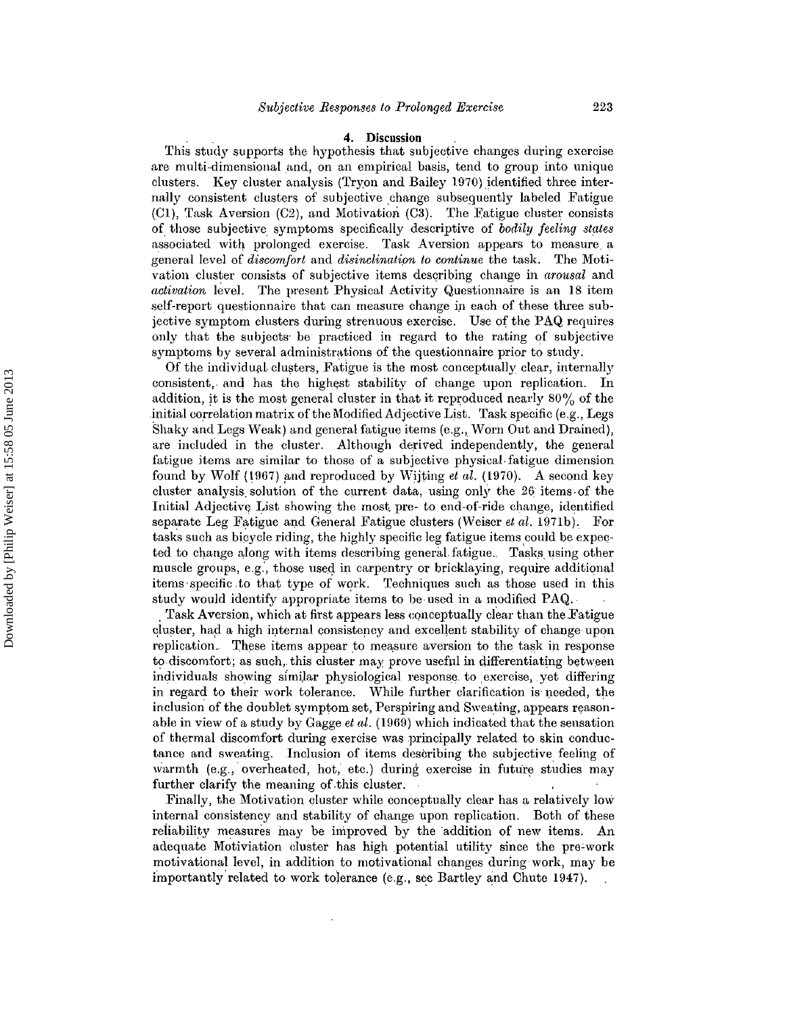#### **4. Discussion**

This study supports the hypothesis that subjective changes during exercise are multi-dimensional and, on an empirical basis, tend to group into unique clusters. Key cluster analysis (Tryon and Bailey 1970) identified three internally consistent clusters of subjective change subsequently labeled Fatigue  $(C1)$ , Task Aversion  $(C2)$ , and Motivation  $(C3)$ . The Fatigue cluster consists of those subjective symptoms specifically descriptive of *bodily feeling states* associated with prolonged exercise. Task Aversion appears to measure. a general level of *discomfort* and *disinclination to continue* the task. The Motivation cluster consists of subjective items describing change in *arousal* and *activation* level. The present Physical Activity Questionnaire is an 18 item self-report questionnaire that can measure change in each of these three subjective symptom clusters during strenuous exercise. Use of the PAQ requires only that the subjects' be practiced in regard to the rating of subjective symptoms by several administrations of the questionnaire prior to study.

Of the individual. clusters, Fatigue is the most conceptually clear, internally consistent,. and has the highest stability of change upon replication. In addition, it is the most general cluster in that it reproduced nearly 80% of the initial correlation matrix of the Modified Adjective List. Task specific (e.g., Legs Shaky and Legs Weak) and general fatigue items (e.g., Worn Out and Drained), are included in the cluster. Although derived independently, the general fatigue items are similar to those of a subjective physical. fatigue dimension found by Wolf (1967) and reproduced by Wijting *et al.* (1970). A second key cluster analysis. solution of the current data, using only the 26 items-of the Initial Adjective List showing the most. pre- to end-of-ride change, identified separate Leg Fatigue and General Fatigue clusters (Weiser *et al,* 1971b). For tasks such as bicycle riding, the highly specific leg fatigue items could be expected to change along with items describing general fatigue. Tasks using other muscle groups, e.g., those used in carpentry or bricklaying, require additional items'specific.to that type of work. Techniques such as those used in this study would identify appropriate items to be-used in a modified PAQ.·

Task Aversion, which at first appears less conceptually clear than the Fatigue cluster, had a high internal consistency and excellent stability of change upon replication. These items appear to measure aversion to the task in response to discomfort; as such,. this cluster may prove useful in differentiating between individuals showing similar physiological response to exercise, yet differing in regard to their work tolerance. While further clarification is needed, the inclusion of the doublet symptom set, Perspiring and Sweating, appears reasonable in view of a study by Gagge *ei al,* (1969) which indicated that the sensation of thermal discomfort during exercise was principally related to skin conductance and sweating. Inclusion of items describing the subjective feeling of warmth (e.g., overheated, hot, etc.) during exercise in future studies may further clarify the meaning of this cluster.

Finally, the Motivation cluster while conceptually clear has a relatively low internal consistency and stability of change upon replication. Both of these reliability measures may be improved by the addition of new items. An adcquate Motiviation cluster has high potential utility since the pre-work motivational level, in addition to motivational changes during work, may be importantly related to work tolerance (e.g., see Bartley and Chute 1947).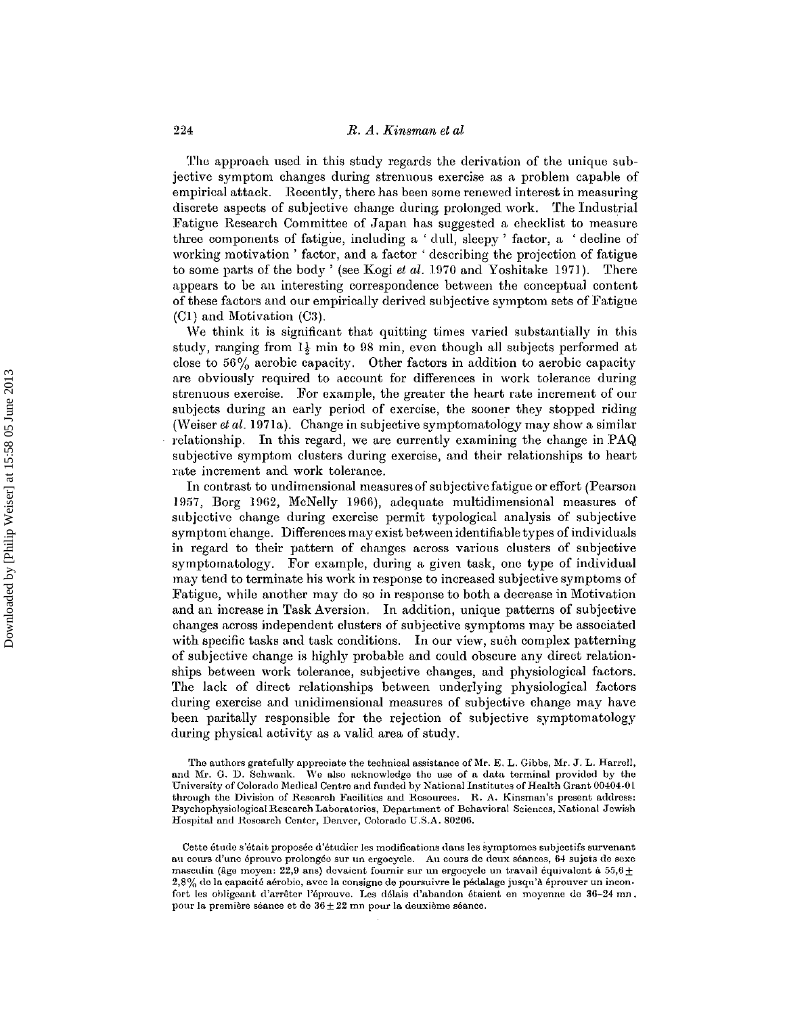The approach used in this study regards the derivation of the unique subjective symptom changes during strenuous exercise as a problem capable of empirical attack. Recently, there has been some renewed interest in measuring discrete aspects of subjective change during prolonged work. The Industrial Fatigue Research Committee of Japan has suggested a checklist to measure three components of fatigue, including a ' dull, sleepy' factor, a 'decline of working motivation' factor, and a factor' describing the projection of fatigue to some parts of the body' (see Kogi *et al.* 1970 and Yoshitake 1971). There appears to be an interesting correspondence between the conceptual content of these factors and our empirically derived subjective symptom sets of Fatigue (Cl) and Motivation (C3).

We think it is significant that quitting times varied substantially in this study, ranging from  $1\frac{1}{2}$  min to 98 min, even though all subjects performed at close to 56% aerobic capacity. Other factors in addition to aerobic capacity are obviously required to account for differences in work tolerance during strenuous exercise. For example, the greater the heart rate increment of our subjects during an early period of exercise, the sooner they stopped riding (Weiser *et al.* 1971a). Change in subjective symptomatology may show a similar relationship. In this regard, we are currently examining the change in PAQ subjective symptom clusters during exercise, and their relationships to heart rate increment and work tolerance.

In contrast to undimensional measures of subjective fatigue or effort (Pearson 1957, Borg 1962, McNelly 1966), adequate multidimensional measures of subjective change during exercise permit typological analysis of subjective symptom change. Differences may exist between identifiable types ofindividuals in regard to their pattern of changes across various clusters of subjective symptomatology. For example, during a given task, one type of individual may tend to terminate his work in response to increased subjective symptoms of Fatigue, while another may do so in response to both a decrease in Motivation and an increase in Task Aversion. In addition, unique patterns of subjective changes across independent clusters of subjective symptoms may be associated with specific tasks and task conditions. In our view, such complex patterning of subjective change is highly probable and could obscure any direct relationships between work tolerance, subjective changes, and physiological factors. The lack of direct relationships between underlying physiological factors during exercise and unidimensional measures of subjective change may have been paritally responsible for the rejection of subjective symptomatology during physical activity as a valid area of study.

The authors gratefully appreciate the technical assistance of Me. E. L. Gibbs, Mr. J. L. Harrell, and Mr. G. D. Schwank. We also acknowledge the use of a data terminal provided by the University of Colorado Medical Centre and funded by National Institutes of Health Grant 00404·0 L through the Division of Research Facilities and Resources. H. A. Kinsman's present address: Psychophysiological Research Laboratories, Department of Behavioral Sciences, National Jewish Hospital and Research Center, Denver, Colorado U.S.A. 80206.

Cette étude s'était proposée d'étudier les modifications dans les symptomes subjectifs survenant au cours d'une éprouvo prolongée sur un ergocycle. Au cours de deux séances, 64 sujets de sexe masculin (âge moyen: 22,9 ans) devaient fournir sur un ergocycle un travail équivalent à  $55.6 \pm$  $2.8\%$  do la capacité aérobic, avec la consigne de poursuivre le pédalage jusqu'à éprouver un inconfort les obligeant d'arrêter l'éprouve. Les délais d'abandon étaient en moyenne de 36-24 mn, pour la première séance et de  $36 \pm 22$  mn pour la deuxième séance.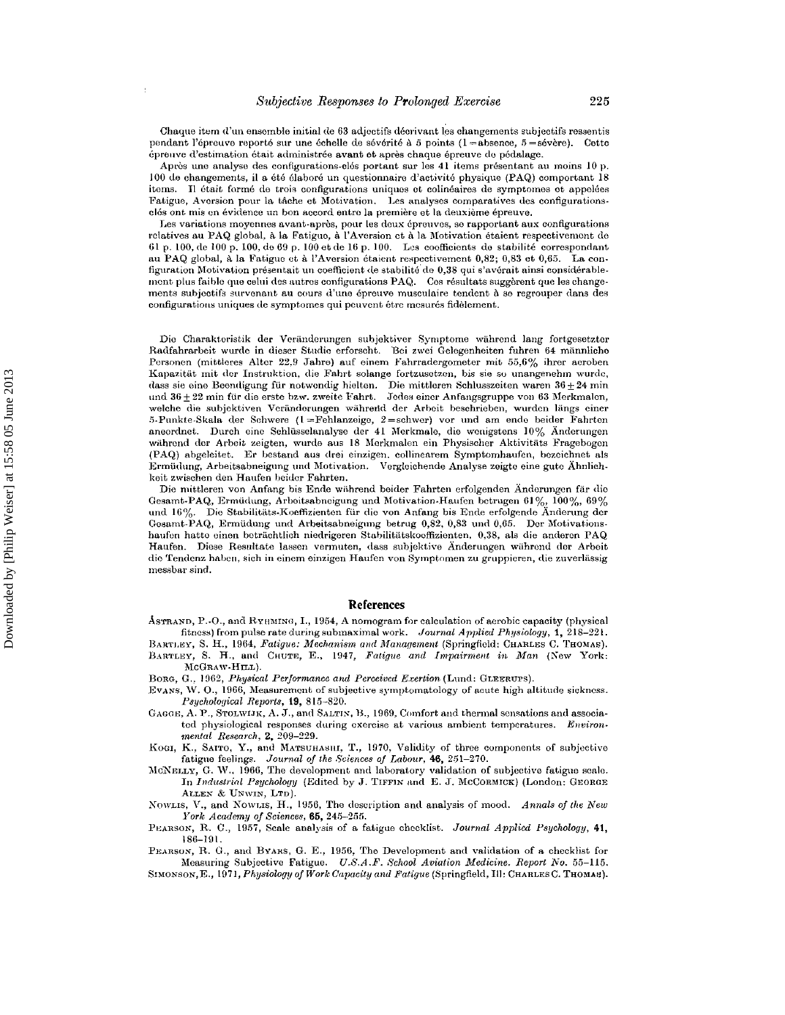Chaque item d'un ensemble initial de 63 adjectifs décrivant les changements subjectifs ressentis pendant l'épreuve reporté sur une échelle de sévérité à 5 points ( $1 =$ absence,  $5 =$ sévère). Cette épreuve d'estimation était administrée avant et après chaque épreuve de pédalage.

Après une analyse des configurations-clés portant sur les 41 items présentant au moins 10 p. 100 de changements, il a été élaboré un questionnaire d'activité physique (PAQ) comportant 18 items. Il était formé de trois configurations uniques et colinéaires de symptomes et appelées Fatigue, Aversion pour la tâche et Motivation. Les analyses comparatives des configurationsclós ont mis en évidence un bon accord entro la première et la deuxième épreuve.

Les variations moyennes avant-après, pour les deux épreuves, se rapportant aux configurations relatives au PAQ global, à la Fatigue, à l'Aversion et à la Motivation étaient respectivement de 61 p. 100, de 100 p. 100, de 69 p. 100 et de 16 p. 100. Les coefficients de stabilité correspondant au PAQ global, à la Fatigue et à l'Aversion étaient respectivement 0,82; 0,83 et 0,65. La configuration Motivation présentait un coefficient de stabilité de 0,38 qui s'avérait ainsi considérablement plus faible que celui des autres configurations PAQ. Cos résultats suggèrent que les changements subjectifs survenant au cours d'une épreuve musculaire tendent à se regrouper dans des configurations uniques de symptomes qui peuvent être mesurés fidèlement.

Die Charakteristik der Veränderungen subjektiver Symptome während lang fortgesetzter Radfahrarbeit wurde in dieser Studie erforscht. Bei zwei Gelegenheiten fuhren 64 männliche Personen (mittleres Alter 22,9 Jahre) auf einem Fahrradergometer mit 55,6% ihrer aeroben Kapazität mit der Instruktion, die Fahrt solange fortzusetzen, bis sie so unangenehm wurde, dass sie eine Beendigung für notwendig hielten. Die mittleren Schlusszeiten waren  $36 \pm 24$  min und  $36 \pm 22$  min für die erste bzw. zweite Fahrt. Jedes einer Anfangsgruppe von 63 Merkmalen, welche die subjektiven Veränderungen während der Arbeit beschrieben, wurden längs einer 5-Punkte-Skala der Schwere (1=Fehlanzeige, 2=schwer) vor und am ende beider Fahrten aneordnet. Durch eine Schlüsselanalyse der 41 Merkmale, die wenigstens 10% Änderungen während der Arbeit zeigten, wurde aus 18 Merkmalen ein Physischer Aktivitäts Fragebogen (PAQ) abgeleitet. Er bestand aus drei einzigen, collinearem Symptomhaufen, bezeichnet als Ermüdung, Arbeitsabneigung und Motivation. Vergleichende Analyse zeigte eine gute Ähnlichkeit zwischen den Haufen beider Fahrten.

Die mittleren von Anfang bis Ende während beider Fahrten erfolgenden Änderungen fär die Gesamt-PAQ, Ermüdung, Arbeitsabneigung und Motivation-Haufen betrugen 61%, 100%, 69% und 16%. Die Stabilitäts-Koeffizienten für die von Anfang bis Ende erfolgende Anderung der Gesamt-PAQ, Ermüdung und Arbeitsabneigung betrug 0,82, 0,83 und 0,65. Der Motivationshaufen hatte einen beträchtlich niedrigeren Stabilitätskoeffizienten, 0,38, als die anderen PAQ Haufen. Diese Resultate lassen vermuten, dass subjektive Änderungen während der Arbeit die Tendenz haben, sich in einem einzigen Haufen von Symptomen zu gruppieren, die zuverlässig messbar sind.

#### **References**

- ASTRAND, P.-O., and RYHMING, I., 1954, A nomogram for calculation of aerobic capacity (physical fitness) from pulse rate during submaximal work. Journal Applied Physiology, 1, 218-221.
- BARTLEY, S. H., 1964, Fatigue: Mechanism and Management (Springfield: CHARLES C. THOMAS). BARTLEY, S. H., and CHUTE, E., 1947, Fatigue and Impairment in Man (New York: MCGRAW-HILL).
- BORG, G., 1962, Physical Performance and Perceived Exertion (Lund: GLEERUPS).
- Evans, W. O., 1966, Measurement of subjective symptomatology of acute high altitude sickness. Psychological Reports, 19, 815-820.
- GAGGE, A. P., STOLWIJK, A. J., and SALTIN, B., 1969, Comfort and thermal sensations and associated physiological responses during exercise at various ambient temperatures. Environmental Research, 2, 209-229.
- Koer, K., SAITO, Y., and MATSUHASHI, T., 1970, Validity of three components of subjective fatigue feelings. Journal of the Sciences of Labour, 46, 251-270.
- McNELLY, G. W., 1966, The development and laboratory validation of subjective fatigue scale. In Industrial Psychology (Edited by J. TIFFIN and E. J. McCORMICK) (London: GEORGE ALLEN & UNWIN, LTD.

NowLIS, V., and NowLIS, H., 1956, The description and analysis of mood. Annals of the New York Academy of Sciences, 65, 245-255.

PEARSON, R. C., 1957, Scale analysis of a fatigue checklist. Journal Applied Psychology, 41,  $186 - 191.$ 

PEARSON, R. G., and BYARS, G. E., 1956, The Development and validation of a checklist for Measuring Subjective Fatigue. U.S.A.F. School Aviation Medicine. Report No. 55-115.